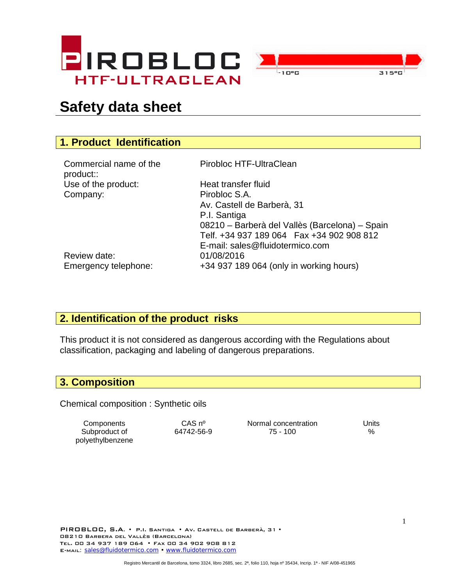



# **Safety data sheet**

# **1. Product Identification**

| Commercial name of the |
|------------------------|
| product::              |
| Use of the product:    |
| Company:               |

Pirobloc HTF-UltraClean

Heat transfer fluid Pirobloc S.A. Av. Castell de Barberà, 31 P.I. Santiga 08210 – Barberà del Vallès (Barcelona) – Spain Telf. +34 937 189 064 Fax +34 902 908 812 E-mail: sales@fluidotermico.com Emergency telephone: +34 937 189 064 (only in working hours)

Review date: 01/08/2016

#### **2. Identification of the product risks**

This product it is not considered as dangerous according with the Regulations about classification, packaging and labeling of dangerous preparations.

#### **3. Composition**

Chemical composition : Synthetic oils

Subproduct of polyethylbenzene

Components CAS nº Normal concentration Units 64742-56-9 75 - 100 %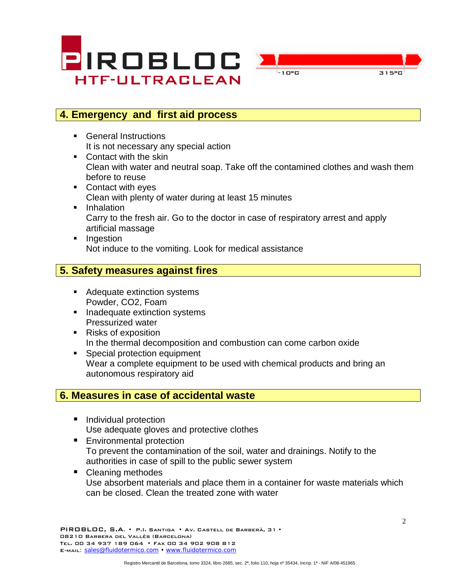



### **4. Emergency and first aid process**

- General Instructions It is not necessary any special action
- Contact with the skin Clean with water and neutral soap. Take off the contamined clothes and wash them before to reuse
- Contact with eyes Clean with plenty of water during at least 15 minutes
- **Inhalation** Carry to the fresh air. Go to the doctor in case of respiratory arrest and apply artificial massage
- **Ingestion** Not induce to the vomiting. Look for medical assistance

### **5. Safety measures against fires**

- Adequate extinction systems Powder, CO2, Foam
- Inadequate extinction systems Pressurized water
- Risks of exposition In the thermal decomposition and combustion can come carbon oxide
- **Special protection equipment** Wear a complete equipment to be used with chemical products and bring an autonomous respiratory aid

#### **6. Measures in case of accidental waste**

- Individual protection Use adequate gloves and protective clothes
- **Environmental protection** To prevent the contamination of the soil, water and drainings. Notify to the authorities in case of spill to the public sewer system
- Cleaning methodes Use absorbent materials and place them in a container for waste materials which can be closed. Clean the treated zone with water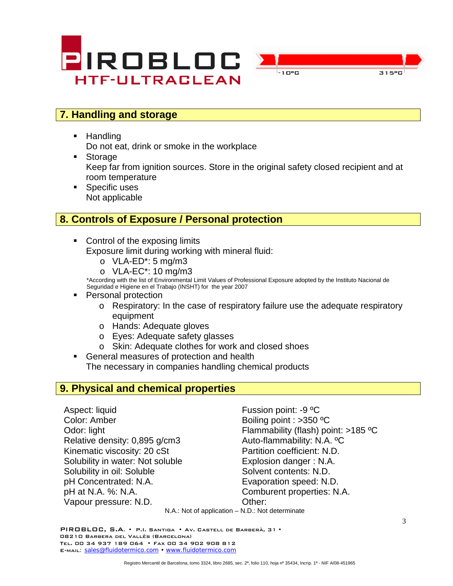



## **7. Handling and storage**

**Handling** 

Do not eat, drink or smoke in the workplace

- Storage Keep far from ignition sources. Store in the original safety closed recipient and at room temperature
- **Specific uses** Not applicable

#### **8. Controls of Exposure / Personal protection**

- Control of the exposing limits Exposure limit during working with mineral fluid:
	- $O$  VLA-ED<sup>\*</sup>: 5 mg/m3
	- o VLA-EC\*: 10 mg/m3

\*According with the list of Environmental Limit Values of Professional Exposure adopted by the Instituto Nacional de Seguridad e Higiene en el Trabajo (INSHT) for the year 2007

- Personal protection
	- o Respiratory: In the case of respiratory failure use the adequate respiratory equipment
	- o Hands: Adequate gloves
	- o Eyes: Adequate safety glasses
	- o Skin: Adequate clothes for work and closed shoes
- General measures of protection and health The necessary in companies handling chemical products

#### **9. Physical and chemical properties**

Aspect: liquid Fussion point: -9 °C Color: Amber Boiling point : >350 °C Relative density: 0,895 g/cm3 Auto-flammability: N.A. <sup>o</sup>C Kinematic viscosity: 20 cSt Partition coefficient: N.D. Solubility in water: Not soluble Explosion danger : N.A. Solubility in oil: Soluble Solvent contents: N.D. pH Concentrated: N.A. Evaporation speed: N.D. pH at N.A. %: N.A. Comburent properties: N.A. Vapour pressure: N.D. Other:

Odor: light Flammability (flash) point: >185 °C

N.A.: Not of application – N.D.: Not determinate

PIROBLOC, S.A. • P.I. Santiga • Av. Castell de Barberà, 31 • 08210 Barbera del Vallès (Barcelona) Tel. 00 34 937 189 064 • Fax 00 34 902 908 812 E-MAIL: [sales@fluidotermico.com](mailto:sales@fluidotermico.com) • [www.fluidotermico.com](http://www.fluidotermico.com/)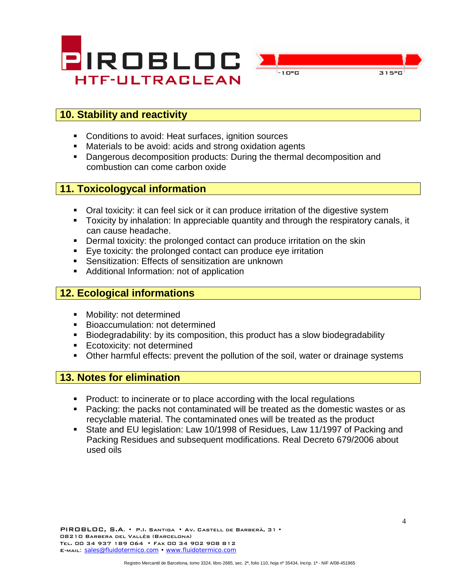



# **10. Stability and reactivity**

- Conditions to avoid: Heat surfaces, ignition sources
- Materials to be avoid: acids and strong oxidation agents
- **Dangerous decomposition products: During the thermal decomposition and** combustion can come carbon oxide

### **11. Toxicologycal information**

- Oral toxicity: it can feel sick or it can produce irritation of the digestive system
- Toxicity by inhalation: In appreciable quantity and through the respiratory canals, it can cause headache.
- **•** Dermal toxicity: the prolonged contact can produce irritation on the skin
- Eye toxicity: the prolonged contact can produce eye irritation
- Sensitization: Effects of sensitization are unknown
- Additional Information: not of application

#### **12. Ecological informations**

- **Nobility: not determined**
- **Bioaccumulation: not determined**
- Biodegradability: by its composition, this product has a slow biodegradability
- **Ecotoxicity: not determined**
- **Other harmful effects: prevent the pollution of the soil, water or drainage systems**

#### **13. Notes for elimination**

- Product: to incinerate or to place according with the local regulations
- Packing: the packs not contaminated will be treated as the domestic wastes or as recyclable material. The contaminated ones will be treated as the product
- State and EU legislation: Law 10/1998 of Residues, Law 11/1997 of Packing and Packing Residues and subsequent modifications. Real Decreto 679/2006 about used oils